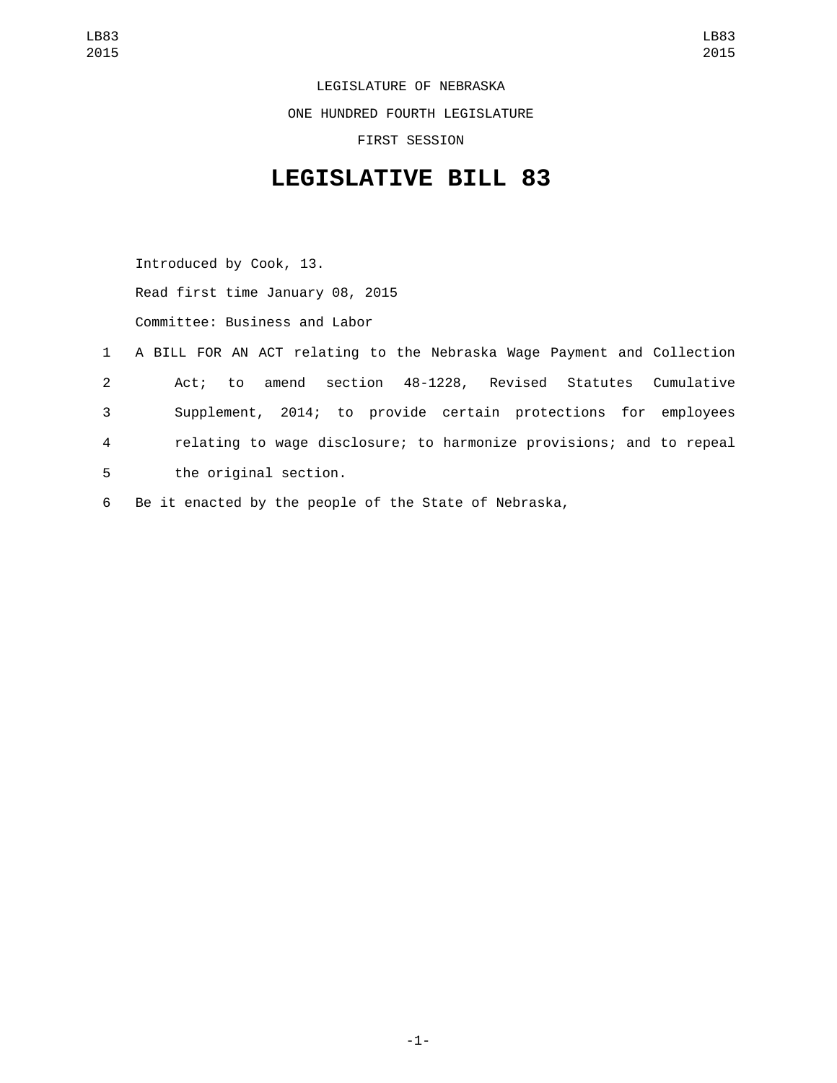LEGISLATURE OF NEBRASKA ONE HUNDRED FOURTH LEGISLATURE FIRST SESSION

## **LEGISLATIVE BILL 83**

Introduced by Cook, 13. Read first time January 08, 2015 Committee: Business and Labor

- 1 A BILL FOR AN ACT relating to the Nebraska Wage Payment and Collection 2 Act; to amend section 48-1228, Revised Statutes Cumulative 3 Supplement, 2014; to provide certain protections for employees 4 relating to wage disclosure; to harmonize provisions; and to repeal 5 the original section.
- 6 Be it enacted by the people of the State of Nebraska,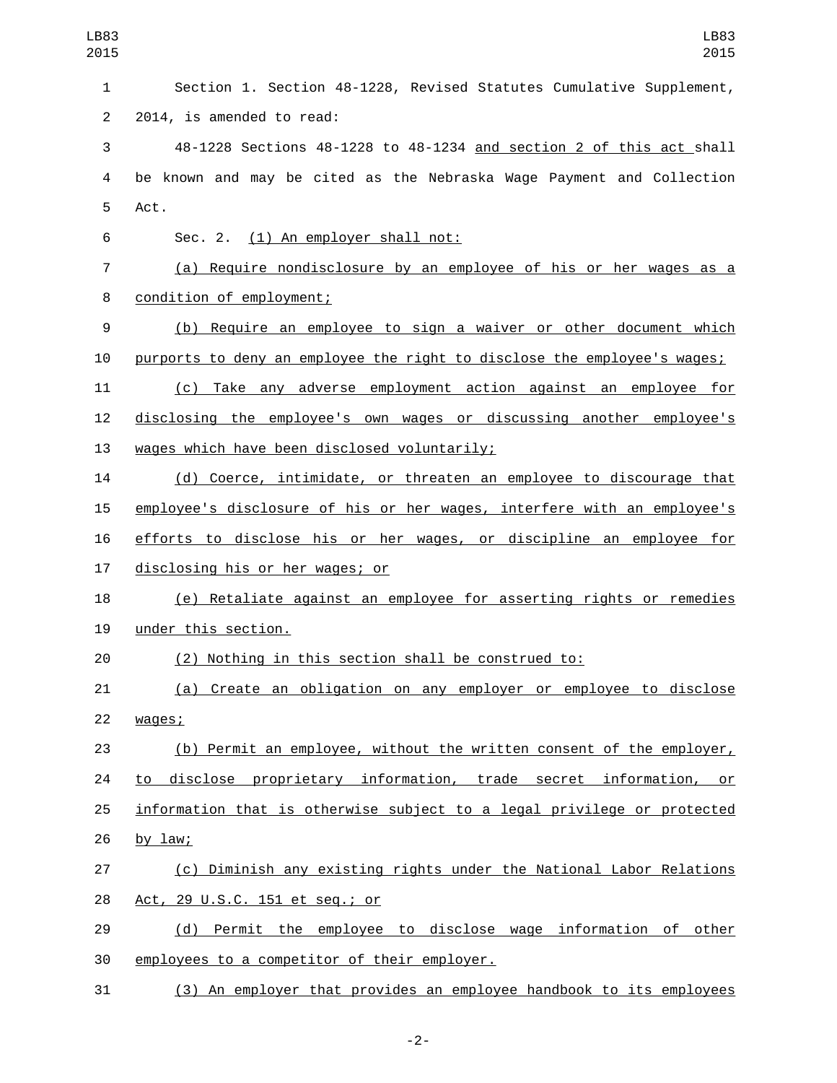| LB83<br>2015   | LB83<br>2015                                                             |
|----------------|--------------------------------------------------------------------------|
| 1              | Section 1. Section 48-1228, Revised Statutes Cumulative Supplement,      |
| $\overline{2}$ | 2014, is amended to read:                                                |
| 3              | 48-1228 Sections 48-1228 to 48-1234 and section 2 of this act shall      |
| 4              | be known and may be cited as the Nebraska Wage Payment and Collection    |
| 5              | Act.                                                                     |
| 6              | Sec. 2. (1) An employer shall not:                                       |
| 7              | (a) Require nondisclosure by an employee of his or her wages as a        |
| 8              | condition of employment;                                                 |
| 9              | (b) Require an employee to sign a waiver or other document which         |
| 10             | purports to deny an employee the right to disclose the employee's wages; |
| 11             | Take any adverse employment action against an employee for<br>(C)        |
| 12             | disclosing the employee's own wages or discussing another employee's     |
| 13             | wages which have been disclosed voluntarily;                             |
| 14             | (d) Coerce, intimidate, or threaten an employee to discourage that       |
| 15             | employee's disclosure of his or her wages, interfere with an employee's  |
| 16             | efforts to disclose his or her wages, or discipline an employee for      |
| 17             | disclosing his or her wages; or                                          |
| 18             | (e) Retaliate against an employee for asserting rights or remedies       |
| 19             | under this section.                                                      |
| 20             | (2) Nothing in this section shall be construed to:                       |
| 21             | (a) Create an obligation on any employer or employee to disclose         |
| 22             | wages;                                                                   |
| 23             | (b) Permit an employee, without the written consent of the employer,     |
| 24             | disclose proprietary information, trade secret information, or<br>to     |
| 25             | information that is otherwise subject to a legal privilege or protected  |
| 26             | by $law$ ;                                                               |
| 27             | (c) Diminish any existing rights under the National Labor Relations      |
| 28             | Act, 29 U.S.C. 151 et seq.; or                                           |
| 29             | (d) Permit the employee to disclose wage information of other            |
| 30             | employees to a competitor of their employer.                             |
| 31             | (3) An employer that provides an employee handbook to its employees      |

-2-